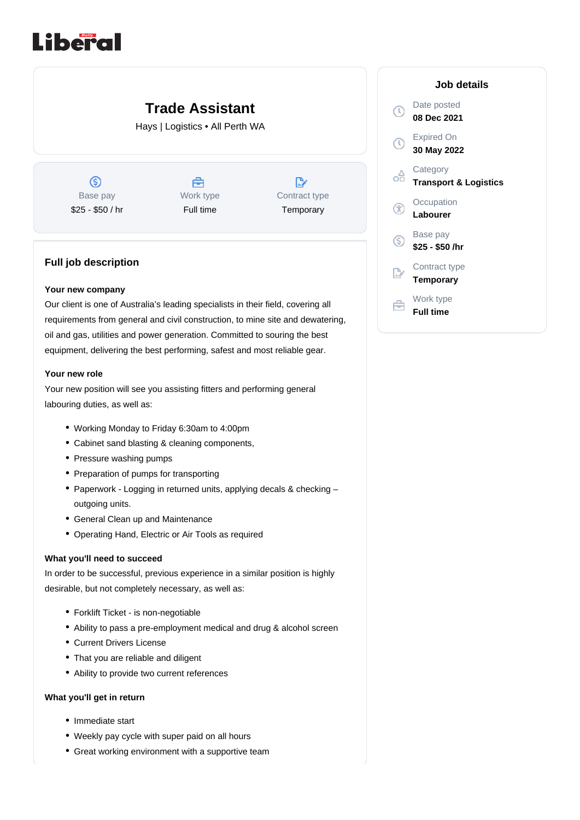# Liberal

## **Trade Assistant**

Hays | Logistics • All Perth WA

 $\circledS$ Base pay \$25 - \$50 / hr

A Work type Full time

| W.            |
|---------------|
| Contract type |
| Temporary     |

### **Full job description**

#### **Your new company**

Our client is one of Australia's leading specialists in their field, covering all requirements from general and civil construction, to mine site and dewatering, oil and gas, utilities and power generation. Committed to souring the best equipment, delivering the best performing, safest and most reliable gear.

#### **Your new role**

Your new position will see you assisting fitters and performing general labouring duties, as well as:

- Working Monday to Friday 6:30am to 4:00pm
- Cabinet sand blasting & cleaning components,
- Pressure washing pumps
- Preparation of pumps for transporting
- Paperwork Logging in returned units, applying decals & checking outgoing units.
- General Clean up and Maintenance
- Operating Hand, Electric or Air Tools as required

#### **What you'll need to succeed**

In order to be successful, previous experience in a similar position is highly desirable, but not completely necessary, as well as:

- Forklift Ticket is non-negotiable
- Ability to pass a pre-employment medical and drug & alcohol screen
- Current Drivers License
- That you are reliable and diligent
- Ability to provide two current references

#### **What you'll get in return**

- Immediate start
- Weekly pay cycle with super paid on all hours
- Great working environment with a supportive team

| Job details                                  |
|----------------------------------------------|
| Date posted<br>08 Dec 2021                   |
| Expired On<br>30 May 2022                    |
| Category<br><b>Transport &amp; Logistics</b> |
| Occupation<br>Labourer                       |
| Base pay<br>\$25 - \$50 /hr                  |
| Contract type<br>Temporary                   |
| Work type<br><b>Full time</b>                |